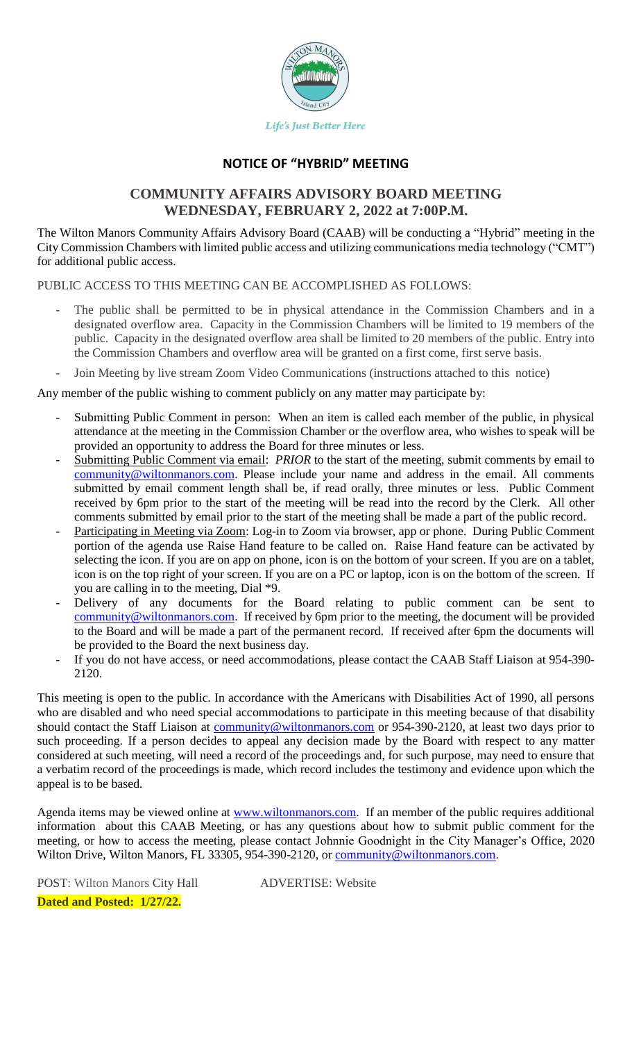

## **NOTICE OF "HYBRID" MEETING**

# **COMMUNITY AFFAIRS ADVISORY BOARD MEETING WEDNESDAY, FEBRUARY 2, 2022 at 7:00P.M.**

The Wilton Manors Community Affairs Advisory Board (CAAB) will be conducting a "Hybrid" meeting in the City Commission Chambers with limited public access and utilizing communications media technology ("CMT") for additional public access.

PUBLIC ACCESS TO THIS MEETING CAN BE ACCOMPLISHED AS FOLLOWS:

- The public shall be permitted to be in physical attendance in the Commission Chambers and in a designated overflow area. Capacity in the Commission Chambers will be limited to 19 members of the public. Capacity in the designated overflow area shall be limited to 20 members of the public. Entry into the Commission Chambers and overflow area will be granted on a first come, first serve basis.
- Join Meeting by live stream Zoom Video Communications (instructions attached to this notice)

Any member of the public wishing to comment publicly on any matter may participate by:

- Submitting Public Comment in person: When an item is called each member of the public, in physical attendance at the meeting in the Commission Chamber or the overflow area, who wishes to speak will be provided an opportunity to address the Board for three minutes or less.
- Submitting Public Comment via email: *PRIOR* to the start of the meeting, submit comments by email to [community@wiltonmanors.com.](mailto:community@wiltonmanors.com) Please include your name and address in the email. All comments submitted by email comment length shall be, if read orally, three minutes or less. Public Comment received by 6pm prior to the start of the meeting will be read into the record by the Clerk. All other comments submitted by email prior to the start of the meeting shall be made a part of the public record.
- Participating in Meeting via Zoom: Log-in to Zoom via browser, app or phone. During Public Comment portion of the agenda use Raise Hand feature to be called on. Raise Hand feature can be activated by selecting the icon. If you are on app on phone, icon is on the bottom of your screen. If you are on a tablet, icon is on the top right of your screen. If you are on a PC or laptop, icon is on the bottom of the screen. If you are calling in to the meeting, Dial \*9.
- Delivery of any documents for the Board relating to public comment can be sent to [community@wiltonmanors.com.](mailto:community@wiltonmanors.com) If received by 6pm prior to the meeting, the document will be provided to the Board and will be made a part of the permanent record. If received after 6pm the documents will be provided to the Board the next business day.
- If you do not have access, or need accommodations, please contact the CAAB Staff Liaison at 954-390-2120.

This meeting is open to the public. In accordance with the Americans with Disabilities Act of 1990, all persons who are disabled and who need special accommodations to participate in this meeting because of that disability should contact the Staff Liaison at [community@wiltonmanors.com](mailto:community@wiltonmanors.com) or 954-390-2120, at least two days prior to such proceeding. If a person decides to appeal any decision made by the Board with respect to any matter considered at such meeting, will need a record of the proceedings and, for such purpose, may need to ensure that a verbatim record of the proceedings is made, which record includes the testimony and evidence upon which the appeal is to be based.

Agenda items may be viewed online at [www.wiltonmanors.com.](http://www.wiltonmanors.com/) If an member of the public requires additional information about this CAAB Meeting, or has any questions about how to submit public comment for the meeting, or how to access the meeting, please contact Johnnie Goodnight in the City Manager's Office, 2020 Wilton Drive, Wilton Manors, FL 33305, 954-390-2120, or [community@wiltonmanors.com.](mailto:community@wiltonmanors.com)

POST: Wilton Manors City Hall ADVERTISE: Website **Dated and Posted: 1/27/22.**